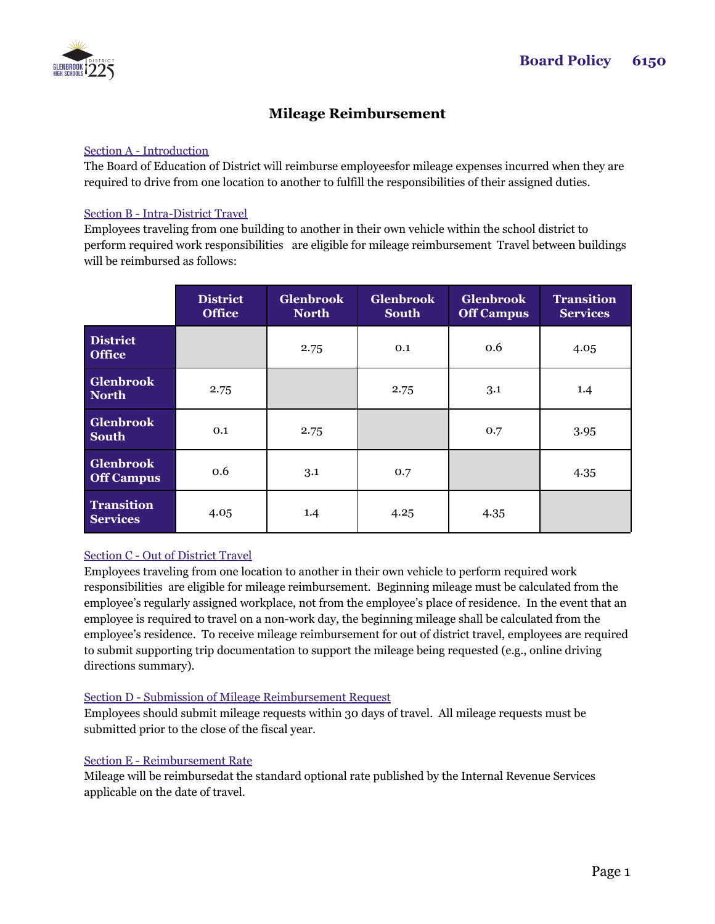

# **Mileage Reimbursement**

#### Section A - Introduction

The Board of Education of District will reimburse employeesfor mileage expenses incurred when they are required to drive from one location to another to fulfill the responsibilities of their assigned duties.

#### Section B - Intra-District Travel

Employees traveling from one building to another in their own vehicle within the school district to perform required work responsibilities are eligible for mileage reimbursement Travel between buildings will be reimbursed as follows:

|                                       | <b>District</b><br><b>Office</b> | <b>Glenbrook</b><br><b>North</b> | <b>Glenbrook</b><br><b>South</b> | <b>Glenbrook</b><br><b>Off Campus</b> | <b>Transition</b><br><b>Services</b> |
|---------------------------------------|----------------------------------|----------------------------------|----------------------------------|---------------------------------------|--------------------------------------|
| <b>District</b><br><b>Office</b>      |                                  | 2.75                             | 0.1                              | 0.6                                   | 4.05                                 |
| <b>Glenbrook</b><br><b>North</b>      | 2.75                             |                                  | 2.75                             | 3.1                                   | 1.4                                  |
| <b>Glenbrook</b><br><b>South</b>      | 0.1                              | 2.75                             |                                  | 0.7                                   | 3.95                                 |
| <b>Glenbrook</b><br><b>Off Campus</b> | 0.6                              | 3.1                              | 0.7                              |                                       | 4.35                                 |
| <b>Transition</b><br><b>Services</b>  | 4.05                             | 1.4                              | 4.25                             | 4.35                                  |                                      |

## Section C - Out of District Travel

Employees traveling from one location to another in their own vehicle to perform required work responsibilities are eligible for mileage reimbursement. Beginning mileage must be calculated from the employee's regularly assigned workplace, not from the employee's place of residence. In the event that an employee is required to travel on a non-work day, the beginning mileage shall be calculated from the employee's residence. To receive mileage reimbursement for out of district travel, employees are required to submit supporting trip documentation to support the mileage being requested (e.g., online driving directions summary).

## Section D - Submission of Mileage Reimbursement Request

Employees should submit mileage requests within 30 days of travel. All mileage requests must be submitted prior to the close of the fiscal year.

## Section E - Reimbursement Rate

Mileage will be reimbursedat the standard optional rate published by the Internal Revenue Services applicable on the date of travel.